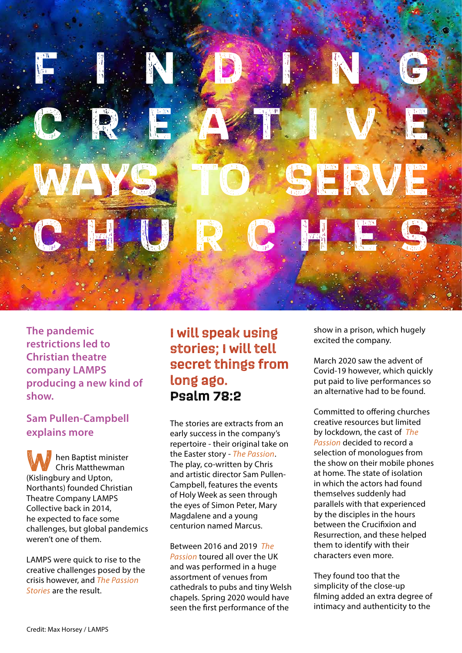

**The pandemic restrictions led to Christian theatre company LAMPS producing a new kind of show.**

## **Sam Pullen-Campbell explains more**

hen Baptist minister Chris Matthewman **W** hen Baptist minit<br>
Chris Matthewm<br>
(Kislingbury and Upton, Northants) founded Christian Theatre Company LAMPS Collective back in 2014, he expected to face some challenges, but global pandemics weren't one of them.

LAMPS were quick to rise to the creative challenges posed by the crisis however, and *The Passion Stories* are the result.

## **I will speak using stories; I will tell secret things from long ago. Psalm 78:2**

The stories are extracts from an early success in the company's repertoire - their original take on the Easter story - *The Passion*. The play, co-written by Chris and artistic director Sam Pullen-Campbell, features the events of Holy Week as seen through the eyes of Simon Peter, Mary Magdalene and a young centurion named Marcus.

Between 2016 and 2019 *The Passion* toured all over the UK and was performed in a huge assortment of venues from cathedrals to pubs and tiny Welsh chapels. Spring 2020 would have seen the first performance of the

show in a prison, which hugely excited the company.

March 2020 saw the advent of Covid-19 however, which quickly put paid to live performances so an alternative had to be found.

Committed to offering churches creative resources but limited by lockdown, the cast of *The Passion* decided to record a selection of monologues from the show on their mobile phones at home. The state of isolation in which the actors had found themselves suddenly had parallels with that experienced by the disciples in the hours between the Crucifixion and Resurrection, and these helped them to identify with their characters even more.

They found too that the simplicity of the close-up filming added an extra degree of intimacy and authenticity to the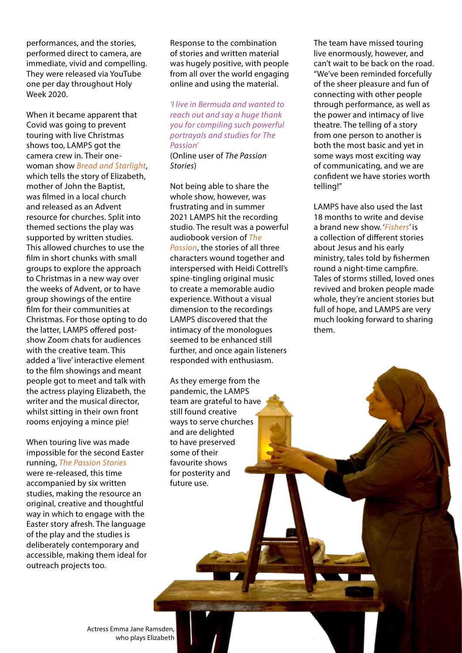performances, and the stories, performed direct to camera, are immediate, vivid and compelling. They were released via YouTube one per day throughout Holy Week 2020.

When it became apparent that Covid was going to prevent touring with live Christmas shows too, LAMPS got the camera crew in. Their onewoman show *Bread and Starlight*, which tells the story of Elizabeth,

mother of John the Baptist, was filmed in a local church and released as an Advent resource for churches. Split into themed sections the play was supported by written studies. This allowed churches to use the film in short chunks with small groups to explore the approach to Christmas in a new way over the weeks of Advent, or to have group showings of the entire film for their communities at Christmas. For those opting to do the latter, LAMPS offered postshow Zoom chats for audiences with the creative team. This added a 'live' interactive element to the film showings and meant people got to meet and talk with the actress playing Elizabeth, the writer and the musical director, whilst sitting in their own front rooms enjoying a mince pie!

When touring live was made impossible for the second Easter running, *The Passion Stories* were re-released, this time accompanied by six written studies, making the resource an original, creative and thoughtful way in which to engage with the Easter story afresh. The language of the play and the studies is deliberately contemporary and accessible, making them ideal for outreach projects too.

Response to the combination of stories and written material was hugely positive, with people from all over the world engaging online and using the material.

*'I live in Bermuda and wanted to reach out and say a huge thank you for compiling such powerful portrayals and studies for The Passion'*

(Online user of *The Passion Stories*)

Not being able to share the whole show, however, was frustrating and in summer 2021 LAMPS hit the recording studio. The result was a powerful audiobook version of *The Passion*, the stories of all three characters wound together and interspersed with Heidi Cottrell's spine-tingling original music to create a memorable audio experience. Without a visual dimension to the recordings LAMPS discovered that the intimacy of the monologues seemed to be enhanced still further, and once again listeners responded with enthusiasm.

As they emerge from the pandemic, the LAMPS team are grateful to have still found creative ways to serve churches and are delighted to have preserved some of their favourite shows for posterity and future use.

The team have missed touring live enormously, however, and can't wait to be back on the road. "We've been reminded forcefully of the sheer pleasure and fun of connecting with other people through performance, as well as the power and intimacy of live theatre. The telling of a story from one person to another is both the most basic and yet in some ways most exciting way of communicating, and we are confident we have stories worth telling!"

LAMPS have also used the last 18 months to write and devise a brand new show. '*Fishers*' is a collection of different stories about Jesus and his early ministry, tales told by fishermen round a night-time campfire. Tales of storms stilled, loved ones revived and broken people made whole, they're ancient stories but full of hope, and LAMPS are very much looking forward to sharing them.

Actress Emma Jane Ramsden, who plays Elizabeth